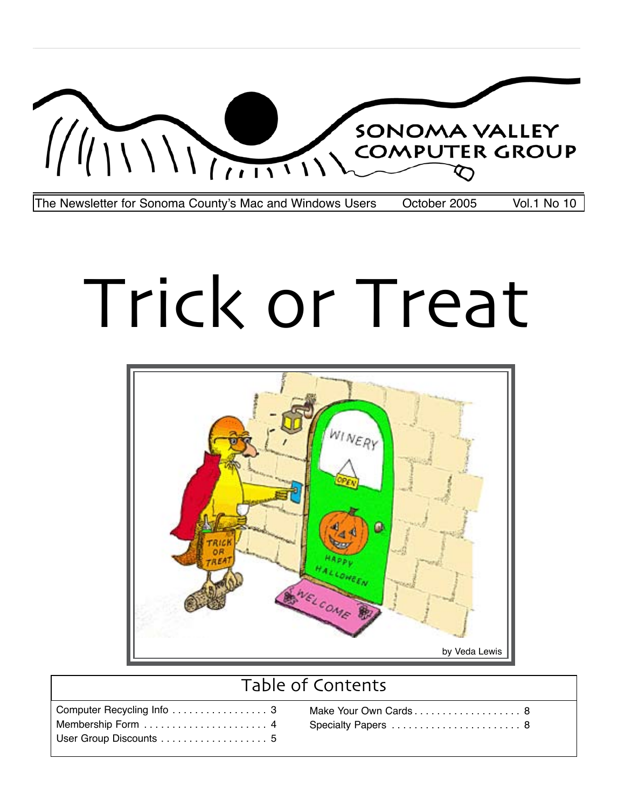

# Trick or Treat



# Table of Contents

| Computer Recycling Info  3 |  |
|----------------------------|--|
| Membership Form  4         |  |
| User Group Discounts  5    |  |

| Make Your Own Cards 8 |  |
|-----------------------|--|
| Specialty Papers  8   |  |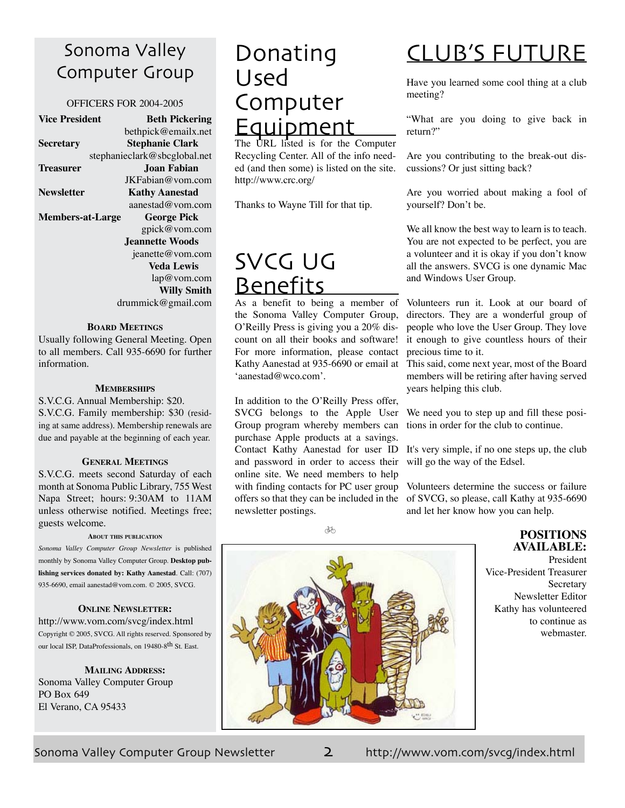# Sonoma Valley Computer Group

# OFFICERS FOR 2004-2005

| <b>Vice President</b>   | <b>Beth Pickering</b>        |
|-------------------------|------------------------------|
|                         | bethpick@emailx.net          |
| <b>Secretary</b>        | Stephanie Clark              |
|                         | stephanieclark@sbcglobal.net |
| <b>Treasurer</b>        | Joan Fabian                  |
|                         | JKFabian@vom.com             |
| <b>Newsletter</b>       | <b>Kathy Aanestad</b>        |
|                         | aanestad@vom.com             |
| <b>Members-at-Large</b> | <b>George Pick</b>           |
|                         | gpick@vom.com                |
|                         | <b>Jeannette Woods</b>       |
|                         | jeanette@vom.com             |
|                         | <b>Veda Lewis</b>            |
|                         | lap@vom.com                  |
|                         | <b>Willy Smith</b>           |
|                         | drummick@gmail.com           |
|                         |                              |

## **Board Meetings**

Usually following General Meeting. Open to all members. Call 935-6690 for further information.

# **Memberships**

S.V.C.G. Annual Membership: \$20. S.V.C.G. Family membership: \$30 (residing at same address). Membership renewals are due and payable at the beginning of each year.

#### **General Meetings**

S.V.C.G. meets second Saturday of each month at Sonoma Public Library, 755 West Napa Street; hours: 9:30AM to 11AM unless otherwise notified. Meetings free; guests welcome.

#### **About this publication**

*Sonoma Valley Computer Group Newsletter* is published monthly by Sonoma Valley Computer Group. **Desktop publishing services donated by: Kathy Aanestad**. Call: (707) 935-6690, email aanestad@vom.com. © 2005, SVCG.

# **Online Newsletter:**

<http://www.vom.com/svcg/index.html> Copyright © 2005, SVCG. All rights reserved. Sponsored by our local ISP, DataProfessionals, on 19480-8<sup>th</sup> St. East.

**Mailing Address:** Sonoma Valley Computer Group PO Box 649 El Verano, CA 95433

# Donating Used Computer Equipment

The URL listed is for the Computer Recycling Center. All of the info needed (and then some) is listed on the site. <http://www.crc.org/>

Thanks to Wayne Till for that tip.

# SVCG UG **Benefits**

As a benefit to being a member of the Sonoma Valley Computer Group, O'Reilly Press is giving you a 20% discount on all their books and software! For more information, please contact Kathy Aanestad at 935-6690 or email at 'aanestad@wco.com'.

In addition to the O'Reilly Press offer, SVCG belongs to the Apple User Group program whereby members can purchase Apple products at a savings. Contact Kathy Aanestad for user ID and password in order to access their online site. We need members to help with finding contacts for PC user group offers so that they can be included in the newsletter postings.

# Club's Future

Have you learned some cool thing at a club meeting?

"What are you doing to give back in return?"

Are you contributing to the break-out discussions? Or just sitting back?

Are you worried about making a fool of yourself? Don't be.

We all know the best way to learn is to teach. You are not expected to be perfect, you are a volunteer and it is okay if you don't know all the answers. SVCG is one dynamic Mac and Windows User Group.

Volunteers run it. Look at our board of directors. They are a wonderful group of people who love the User Group. They love it enough to give countless hours of their precious time to it.

This said, come next year, most of the Board members will be retiring after having served years helping this club.

We need you to step up and fill these positions in order for the club to continue.

It's very simple, if no one steps up, the club will go the way of the Edsel.

Volunteers determine the success or failure of SVCG, so please, call Kathy at 935-6690 and let her know how you can help.

dh



# **Positions available:**

President Vice-President Treasurer Secretary Newsletter Editor Kathy has volunteered to continue as webmaster.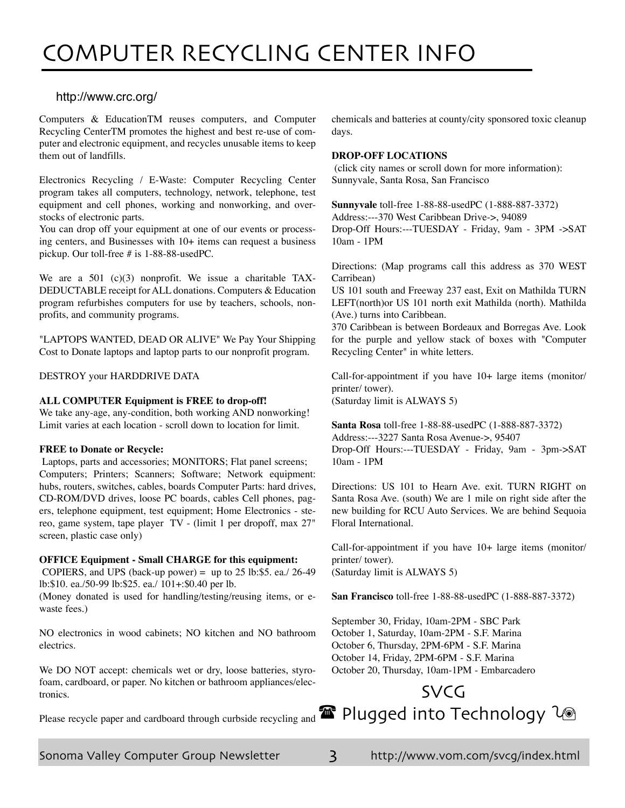# <span id="page-2-0"></span><http://www.crc.org/>

Computers & EducationTM reuses computers, and Computer Recycling CenterTM promotes the highest and best re-use of computer and electronic equipment, and recycles unusable items to keep them out of landfills.

Electronics Recycling / E-Waste: Computer Recycling Center program takes all computers, technology, network, telephone, test equipment and cell phones, working and nonworking, and overstocks of electronic parts.

You can drop off your equipment at one of our events or processing centers, and Businesses with 10+ items can request a business pickup. Our toll-free # is 1-88-88-usedPC.

We are a 501 (c)(3) nonprofit. We issue a charitable TAX-DEDUCTABLE receipt for ALL donations. Computers & Education program refurbishes computers for use by teachers, schools, nonprofits, and community programs.

"LAPTOPS WANTED, DEAD OR ALIVE" We Pay Your Shipping Cost to Donate laptops and laptop parts to our nonprofit program.

DESTROY your HARDDRIVE DATA

# **ALL COMPUTER Equipment is FREE to drop-off!**

We take any-age, any-condition, both working AND nonworking! Limit varies at each location - scroll down to location for limit.

# **FREE to Donate or Recycle:**

Laptops, parts and accessories; MONITORS; Flat panel screens; Computers; Printers; Scanners; Software; Network equipment: hubs, routers, switches, cables, boards Computer Parts: hard drives, CD-ROM/DVD drives, loose PC boards, cables Cell phones, pagers, telephone equipment, test equipment; Home Electronics - stereo, game system, tape player TV - (limit 1 per dropoff, max 27" screen, plastic case only)

# **OFFICE Equipment - Small CHARGE for this equipment:**

COPIERS, and UPS (back-up power) = up to 25 lb:\$5. ea./ 26-49 lb:\$10. ea./50-99 lb:\$25. ea./ 101+:\$0.40 per lb.

(Money donated is used for handling/testing/reusing items, or ewaste fees.)

NO electronics in wood cabinets; NO kitchen and NO bathroom electrics.

We DO NOT accept: chemicals wet or dry, loose batteries, styrofoam, cardboard, or paper. No kitchen or bathroom appliances/electronics.

chemicals and batteries at county/city sponsored toxic cleanup days.

#### **DROP-OFF LOCATIONS**

(click city names or scroll down for more information): Sunnyvale, Santa Rosa, San Francisco

**Sunnyvale** toll-free 1-88-88-usedPC (1-888-887-3372) Address:---370 West Caribbean Drive->, 94089 Drop-Off Hours:---TUESDAY - Friday, 9am - 3PM ->SAT 10am - 1PM

Directions: (Map programs call this address as 370 WEST Carribean)

US 101 south and Freeway 237 east, Exit on Mathilda TURN LEFT(north)or US 101 north exit Mathilda (north). Mathilda (Ave.) turns into Caribbean.

370 Caribbean is between Bordeaux and Borregas Ave. Look for the purple and yellow stack of boxes with "Computer Recycling Center" in white letters.

Call-for-appointment if you have 10+ large items (monitor/ printer/ tower). (Saturday limit is ALWAYS 5)

**Santa Rosa** toll-free 1-88-88-usedPC (1-888-887-3372) Address:---3227 Santa Rosa Avenue->, 95407 Drop-Off Hours:---TUESDAY - Friday, 9am - 3pm->SAT 10am - 1PM

Directions: US 101 to Hearn Ave. exit. TURN RIGHT on Santa Rosa Ave. (south) We are 1 mile on right side after the new building for RCU Auto Services. We are behind Sequoia Floral International.

Call-for-appointment if you have 10+ large items (monitor/ printer/ tower). (Saturday limit is ALWAYS 5)

**San Francisco** toll-free 1-88-88-usedPC (1-888-887-3372)

September 30, Friday, 10am-2PM - SBC Park October 1, Saturday, 10am-2PM - S.F. Marina October 6, Thursday, 2PM-6PM - S.F. Marina October 14, Friday, 2PM-6PM - S.F. Marina October 20, Thursday, 10am-1PM - Embarcadero

# Please recycle paper and cardboard through curbside recycling and  $\blacksquare$  Plugged into Technology  $\textcolor{red}{\mathcal{U}}$ SVCG

Sonoma Valley Computer Group Newsletter 3 <http://www.vom.com/svcg/index.html>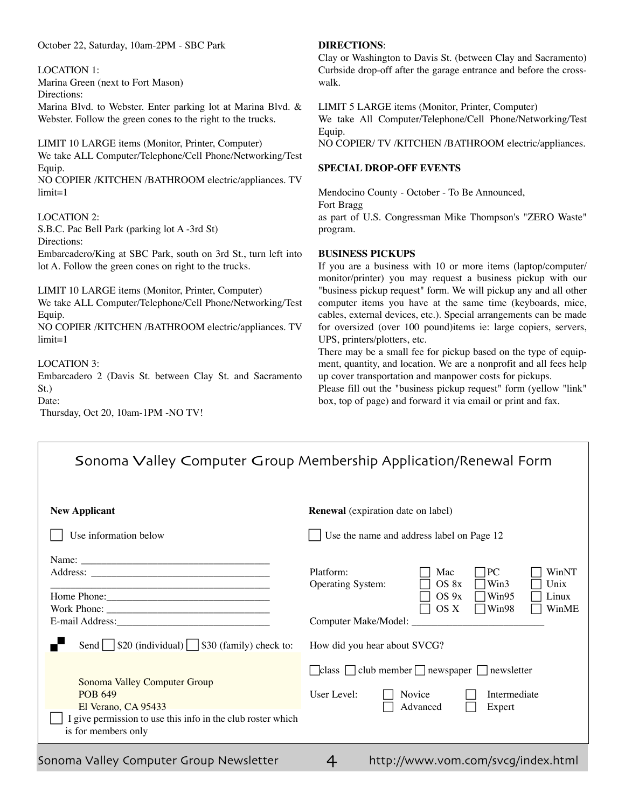<span id="page-3-0"></span>October 22, Saturday, 10am-2PM - SBC Park

LOCATION 1:

Marina Green (next to Fort Mason) Directions:

Marina Blvd. to Webster. Enter parking lot at Marina Blvd. & Webster. Follow the green cones to the right to the trucks.

LIMIT 10 LARGE items (Monitor, Printer, Computer) We take ALL Computer/Telephone/Cell Phone/Networking/Test Equip.

NO COPIER /KITCHEN /BATHROOM electric/appliances. TV limit=1

LOCATION 2:

S.B.C. Pac Bell Park (parking lot A -3rd St) Directions: Embarcadero/King at SBC Park, south on 3rd St., turn left into lot A. Follow the green cones on right to the trucks.

LIMIT 10 LARGE items (Monitor, Printer, Computer) We take ALL Computer/Telephone/Cell Phone/Networking/Test Equip.

NO COPIER /KITCHEN /BATHROOM electric/appliances. TV  $limit=1$ 

LOCATION 3:

Embarcadero 2 (Davis St. between Clay St. and Sacramento St.)

Date:

Thursday, Oct 20, 10am-1PM -NO TV!

# **Directions**:

Clay or Washington to Davis St. (between Clay and Sacramento) Curbside drop-off after the garage entrance and before the crosswalk.

LIMIT 5 LARGE items (Monitor, Printer, Computer) We take All Computer/Telephone/Cell Phone/Networking/Test Equip.

NO COPIER/ TV /KITCHEN /BATHROOM electric/appliances.

# **Special Drop-off Events**

Mendocino County - October - To Be Announced, Fort Bragg as part of U.S. Congressman Mike Thompson's "ZERO Waste" program.

# **Business Pickups**

If you are a business with 10 or more items (laptop/computer/ monitor/printer) you may request a business pickup with our "business pickup request" form. We will pickup any and all other computer items you have at the same time (keyboards, mice, cables, external devices, etc.). Special arrangements can be made for oversized (over 100 pound)items ie: large copiers, servers, UPS, printers/plotters, etc.

There may be a small fee for pickup based on the type of equipment, quantity, and location. We are a nonprofit and all fees help up cover transportation and manpower costs for pickups.

Please fill out the "business pickup request" form (yellow "link" box, top of page) and forward it via email or print and fax.

| Sonoma Valley Computer Group Membership Application/Renewal Form                                                                                                                                                                   |                                                                                                                                                                             |  |
|------------------------------------------------------------------------------------------------------------------------------------------------------------------------------------------------------------------------------------|-----------------------------------------------------------------------------------------------------------------------------------------------------------------------------|--|
| <b>New Applicant</b><br>Use information below                                                                                                                                                                                      | <b>Renewal</b> (expiration date on label)<br>Use the name and address label on Page 12                                                                                      |  |
|                                                                                                                                                                                                                                    | Platform:<br> PC <br>WinNT<br>Mac<br>OS 8x<br>Win3<br>Operating System:<br>Unix<br>OS 9x<br>Win95<br>Linux<br>OS X<br>Win98<br>WinME<br>Computer Make/Model: ______________ |  |
| Send $\sqrt{\$20 \text{ (individual)}\ \}\$ \$30 (family) check to:<br>Sonoma Valley Computer Group<br><b>POB 649</b><br>El Verano, CA 95433<br>I give permission to use this info in the club roster which<br>is for members only | How did you hear about SVCG?<br>$\Box$ class $\Box$ club member $\Box$ newspaper $\Box$ newsletter<br>User Level:<br>Intermediate<br>Novice<br>Advanced<br>Expert           |  |

Sonoma Valley Computer Group Newsletter 4 <http://www.vom.com/svcg/index.html>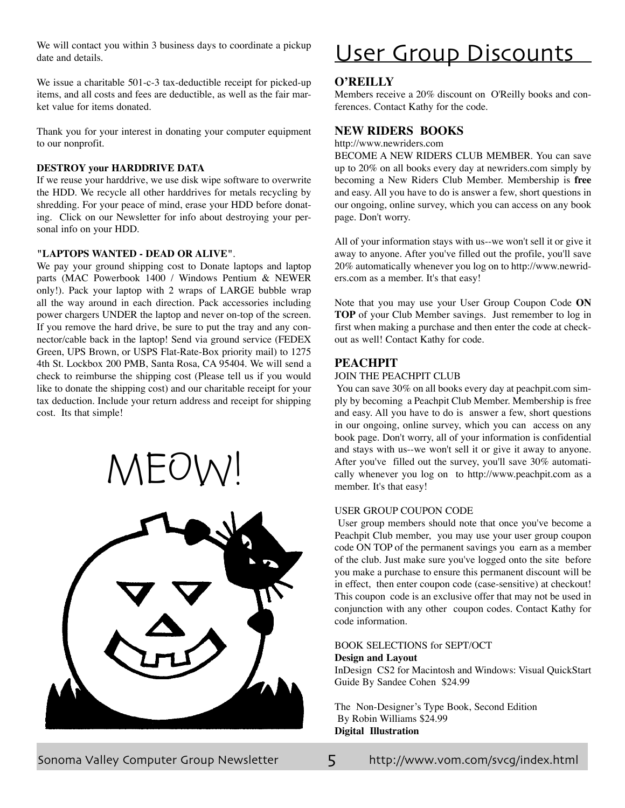<span id="page-4-0"></span>We will contact you within 3 business days to coordinate a pickup date and details.

We issue a charitable 501-c-3 tax-deductible receipt for picked-up items, and all costs and fees are deductible, as well as the fair market value for items donated.

Thank you for your interest in donating your computer equipment to our nonprofit.

# **DESTROY your HARDDRIVE DATA**

If we reuse your harddrive, we use disk wipe software to overwrite the HDD. We recycle all other harddrives for metals recycling by shredding. For your peace of mind, erase your HDD before donating. Click on our Newsletter for info about destroying your personal info on your HDD.

#### **"LAPTOPS WANTED - DEAD OR ALIVE"**.

We pay your ground shipping cost to Donate laptops and laptop parts (MAC Powerbook 1400 / Windows Pentium & NEWER only!). Pack your laptop with 2 wraps of LARGE bubble wrap all the way around in each direction. Pack accessories including power chargers UNDER the laptop and never on-top of the screen. If you remove the hard drive, be sure to put the tray and any connector/cable back in the laptop! Send via ground service (FEDEX Green, UPS Brown, or USPS Flat-Rate-Box priority mail) to 1275 4th St. Lockbox 200 PMB, Santa Rosa, CA 95404. We will send a check to reimburse the shipping cost (Please tell us if you would like to donate the shipping cost) and our charitable receipt for your tax deduction. Include your return address and receipt for shipping cost. Its that simple!

MEOW!



# User Group Discounts

# **O'Reilly**

Members receive a 20% discount on O'Reilly books and conferences. Contact Kathy for the code.

# **New Riders Books**

<http://www.newriders.com>

BECOME A NEW RIDERS CLUB MEMBER. You can save up to 20% on all books every day at newriders.com simply by becoming a New Riders Club Member. Membership is **free** and easy. All you have to do is answer a few, short questions in our ongoing, online survey, which you can access on any book page. Don't worry.

All of your information stays with us--we won't sell it or give it away to anyone. After you've filled out the profile, you'll save [20% automatically whenever you log on to http://www.newrid](http://www.newrid-ers)ers.com as a member. It's that easy!

Note that you may use your User Group Coupon Code **ON TOP** of your Club Member savings. Just remember to log in first when making a purchase and then enter the code at checkout as well! Contact Kathy for code.

# **PeachPit**

# JOIN THE PEACHPIT CLUB

You can save 30% on all books every day at peachpit.com simply by becoming a Peachpit Club Member. Membership is free and easy. All you have to do is answer a few, short questions in our ongoing, online survey, which you can access on any book page. Don't worry, all of your information is confidential and stays with us--we won't sell it or give it away to anyone. After you've filled out the survey, you'll save 30% automatically whenever you log on to <http://www.peachpit.com> as a member. It's that easy!

#### USER GROUP COUPON CODE

User group members should note that once you've become a Peachpit Club member, you may use your user group coupon code ON TOP of the permanent savings you earn as a member of the club. Just make sure you've logged onto the site before you make a purchase to ensure this permanent discount will be in effect, then enter coupon code (case-sensitive) at checkout! This coupon code is an exclusive offer that may not be used in conjunction with any other coupon codes. Contact Kathy for code information.

#### BOOK SELECTIONS for SEPT/OCT

#### **Design and Layout**

InDesign CS2 for Macintosh and Windows: Visual QuickStart Guide By Sandee Cohen \$24.99

The Non-Designer's Type Book, Second Edition By Robin Williams \$24.99 **Digital Illustration**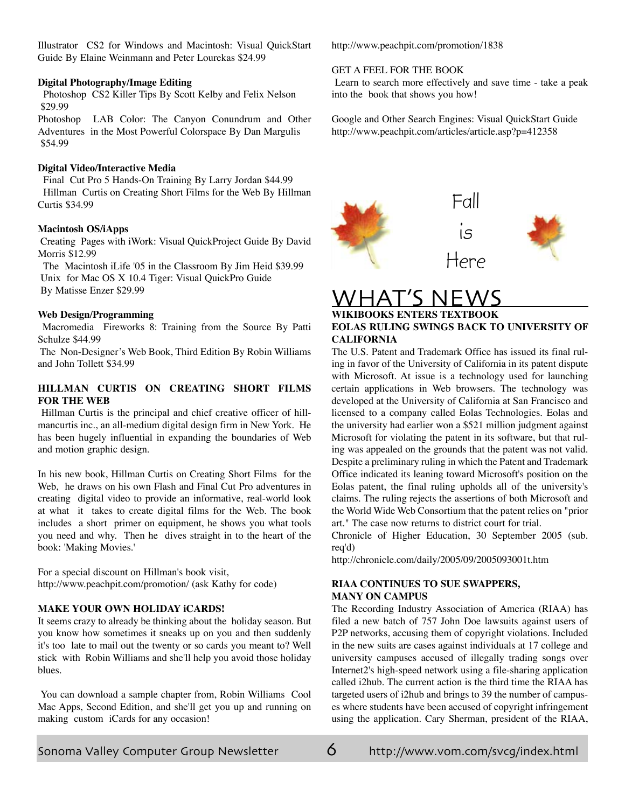Illustrator CS2 for Windows and Macintosh: Visual QuickStart Guide By Elaine Weinmann and Peter Lourekas \$24.99

#### **Digital Photography/Image Editing**

 Photoshop CS2 Killer Tips By Scott Kelby and Felix Nelson \$29.99

Photoshop LAB Color: The Canyon Conundrum and Other Adventures in the Most Powerful Colorspace By Dan Margulis \$54.99

# **Digital Video/Interactive Media**

 Final Cut Pro 5 Hands-On Training By Larry Jordan \$44.99 Hillman Curtis on Creating Short Films for the Web By Hillman Curtis \$34.99

# **Macintosh OS/iApps**

Creating Pages with iWork: Visual QuickProject Guide By David Morris \$12.99

 The Macintosh iLife '05 in the Classroom By Jim Heid \$39.99 Unix for Mac OS X 10.4 Tiger: Visual QuickPro Guide By Matisse Enzer \$29.99

# **Web Design/Programming**

Macromedia Fireworks 8: Training from the Source By Patti Schulze \$44.99

 The Non-Designer's Web Book, Third Edition By Robin Williams and John Tollett \$34.99

# **HILLMAN CURTIS ON CREATING SHORT FILMS FOR THE WEB**

Hillman Curtis is the principal and chief creative officer of hillmancurtis inc., an all-medium digital design firm in New York. He has been hugely influential in expanding the boundaries of Web and motion graphic design.

In his new book, Hillman Curtis on Creating Short Films for the Web, he draws on his own Flash and Final Cut Pro adventures in creating digital video to provide an informative, real-world look at what it takes to create digital films for the Web. The book includes a short primer on equipment, he shows you what tools you need and why. Then he dives straight in to the heart of the book: 'Making Movies.'

For a special discount on Hillman's book visit, <http://www.peachpit.com/promotion/> (ask Kathy for code)

# **MAKE YOUR OWN HOLIDAY iCARDS!**

It seems crazy to already be thinking about the holiday season. But you know how sometimes it sneaks up on you and then suddenly it's too late to mail out the twenty or so cards you meant to? Well stick with Robin Williams and she'll help you avoid those holiday blues.

You can download a sample chapter from, Robin Williams Cool Mac Apps, Second Edition, and she'll get you up and running on making custom iCards for any occasion!

<http://www.peachpit.com/promotion/1838>

# GET A FEEL FOR THE BOOK

Learn to search more effectively and save time - take a peak into the book that shows you how!

Google and Other Search Engines: Visual QuickStart Guide <http://www.peachpit.com/articles/article.asp?p=412358>



# WHAT'S

# **WIKIBOOKS ENTERS TEXTBOOK EOLAS RULING SWINGS BACK TO UNIVERSITY OF CALIFORNIA**

The U.S. Patent and Trademark Office has issued its final ruling in favor of the University of California in its patent dispute with Microsoft. At issue is a technology used for launching certain applications in Web browsers. The technology was developed at the University of California at San Francisco and licensed to a company called Eolas Technologies. Eolas and the university had earlier won a \$521 million judgment against Microsoft for violating the patent in its software, but that ruling was appealed on the grounds that the patent was not valid. Despite a preliminary ruling in which the Patent and Trademark Office indicated its leaning toward Microsoft's position on the Eolas patent, the final ruling upholds all of the university's claims. The ruling rejects the assertions of both Microsoft and the World Wide Web Consortium that the patent relies on "prior art." The case now returns to district court for trial.

Chronicle of Higher Education, 30 September 2005 (sub. req'd)

<http://chronicle.com/daily/2005/09/2005093001t.htm>

# **RIAA CONTINUES TO SUE SWAPPERS, MANY ON CAMPUS**

The Recording Industry Association of America (RIAA) has filed a new batch of 757 John Doe lawsuits against users of P2P networks, accusing them of copyright violations. Included in the new suits are cases against individuals at 17 college and university campuses accused of illegally trading songs over Internet2's high-speed network using a file-sharing application called i2hub. The current action is the third time the RIAA has targeted users of i2hub and brings to 39 the number of campuses where students have been accused of copyright infringement using the application. Cary Sherman, president of the RIAA,

Sonoma Valley Computer Group Newsletter  $\sigma$  <http://www.vom.com/svcg/index.html>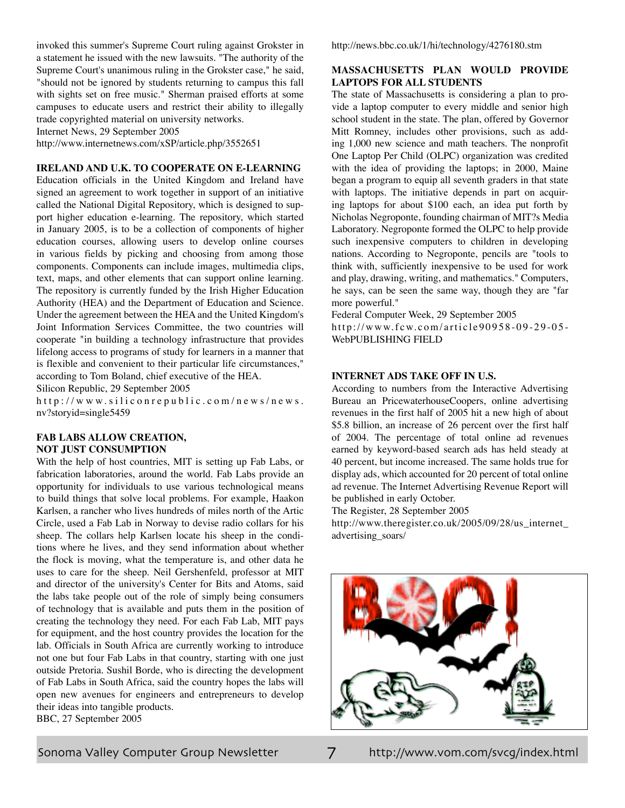invoked this summer's Supreme Court ruling against Grokster in a statement he issued with the new lawsuits. "The authority of the Supreme Court's unanimous ruling in the Grokster case," he said, "should not be ignored by students returning to campus this fall with sights set on free music." Sherman praised efforts at some campuses to educate users and restrict their ability to illegally trade copyrighted material on university networks.

Internet News, 29 September 2005

<http://www.internetnews.com/xSP/article.php/3552651>

# **IRELAND AND U.K. TO COOPERATE ON E-LEARNING**

Education officials in the United Kingdom and Ireland have signed an agreement to work together in support of an initiative called the National Digital Repository, which is designed to support higher education e-learning. The repository, which started in January 2005, is to be a collection of components of higher education courses, allowing users to develop online courses in various fields by picking and choosing from among those components. Components can include images, multimedia clips, text, maps, and other elements that can support online learning. The repository is currently funded by the Irish Higher Education Authority (HEA) and the Department of Education and Science. Under the agreement between the HEA and the United Kingdom's Joint Information Services Committee, the two countries will cooperate "in building a technology infrastructure that provides lifelong access to programs of study for learners in a manner that is flexible and convenient to their particular life circumstances," according to Tom Boland, chief executive of the HEA.

Silicon Republic, 29 September 2005

 $http://www.siliconrepublic.com/news/news.$ nv?storyid=single5459

# **FAB LABS ALLOW CREATION, NOT JUST CONSUMPTION**

With the help of host countries, MIT is setting up Fab Labs, or fabrication laboratories, around the world. Fab Labs provide an opportunity for individuals to use various technological means to build things that solve local problems. For example, Haakon Karlsen, a rancher who lives hundreds of miles north of the Artic Circle, used a Fab Lab in Norway to devise radio collars for his sheep. The collars help Karlsen locate his sheep in the conditions where he lives, and they send information about whether the flock is moving, what the temperature is, and other data he uses to care for the sheep. Neil Gershenfeld, professor at MIT and director of the university's Center for Bits and Atoms, said the labs take people out of the role of simply being consumers of technology that is available and puts them in the position of creating the technology they need. For each Fab Lab, MIT pays for equipment, and the host country provides the location for the lab. Officials in South Africa are currently working to introduce not one but four Fab Labs in that country, starting with one just outside Pretoria. Sushil Borde, who is directing the development of Fab Labs in South Africa, said the country hopes the labs will open new avenues for engineers and entrepreneurs to develop their ideas into tangible products. BBC, 27 September 2005

## **MASSACHUSETTS PLAN WOULD PROVIDE LAPTOPS FOR ALL STUDENTS**

The state of Massachusetts is considering a plan to provide a laptop computer to every middle and senior high school student in the state. The plan, offered by Governor Mitt Romney, includes other provisions, such as adding 1,000 new science and math teachers. The nonprofit One Laptop Per Child (OLPC) organization was credited with the idea of providing the laptops; in 2000, Maine began a program to equip all seventh graders in that state with laptops. The initiative depends in part on acquiring laptops for about \$100 each, an idea put forth by Nicholas Negroponte, founding chairman of MIT?s Media Laboratory. Negroponte formed the OLPC to help provide such inexpensive computers to children in developing nations. According to Negroponte, pencils are "tools to think with, sufficiently inexpensive to be used for work and play, drawing, writing, and mathematics." Computers, he says, can be seen the same way, though they are "far more powerful."

Federal Computer Week, 29 September 2005 http://www.fcw.com/article90958-09-29-05-WebPUBLISHING FIELD

# **INTERNET ADS TAKE OFF IN U.S.**

According to numbers from the Interactive Advertising Bureau an PricewaterhouseCoopers, online advertising revenues in the first half of 2005 hit a new high of about \$5.8 billion, an increase of 26 percent over the first half of 2004. The percentage of total online ad revenues earned by keyword-based search ads has held steady at 40 percent, but income increased. The same holds true for display ads, which accounted for 20 percent of total online ad revenue. The Internet Advertising Revenue Report will be published in early October.

The Register, 28 September 2005

[http://www.theregister.co.uk/2005/09/28/us\\_internet\\_](http://www.theregister.co.uk/2005/09/28/us_internet_) advertising\_soars/

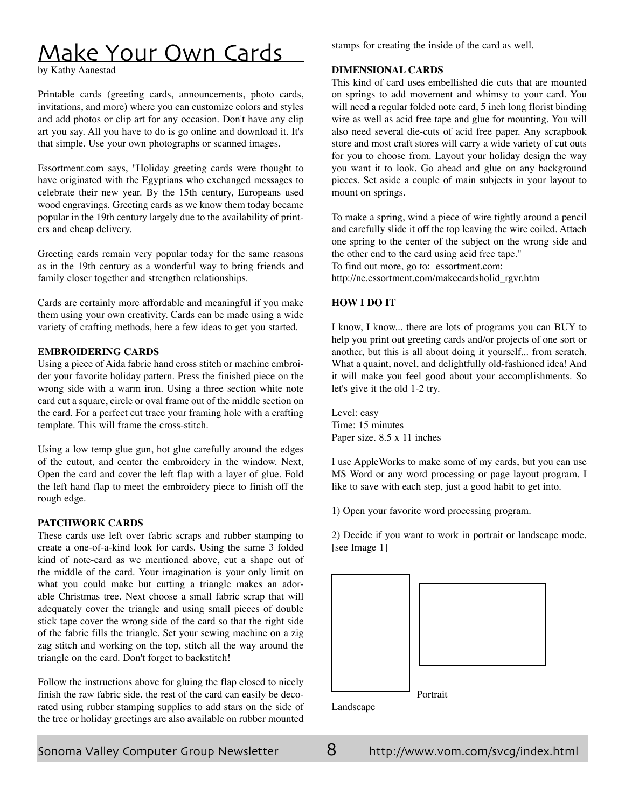# <span id="page-7-0"></span>Make Your Own Cards

by Kathy Aanestad

Printable cards (greeting cards, announcements, photo cards, invitations, and more) where you can customize colors and styles and add photos or clip art for any occasion. Don't have any clip art you say. All you have to do is go online and download it. It's that simple. Use your own photographs or scanned images.

Essortment.com says, "Holiday greeting cards were thought to have originated with the Egyptians who exchanged messages to celebrate their new year. By the 15th century, Europeans used wood engravings. Greeting cards as we know them today became popular in the 19th century largely due to the availability of printers and cheap delivery.

Greeting cards remain very popular today for the same reasons as in the 19th century as a wonderful way to bring friends and family closer together and strengthen relationships.

Cards are certainly more affordable and meaningful if you make them using your own creativity. Cards can be made using a wide variety of crafting methods, here a few ideas to get you started.

# **EMBROIDERING CARDS**

Using a piece of Aida fabric hand cross stitch or machine embroider your favorite holiday pattern. Press the finished piece on the wrong side with a warm iron. Using a three section white note card cut a square, circle or oval frame out of the middle section on the card. For a perfect cut trace your framing hole with a crafting template. This will frame the cross-stitch.

Using a low temp glue gun, hot glue carefully around the edges of the cutout, and center the embroidery in the window. Next, Open the card and cover the left flap with a layer of glue. Fold the left hand flap to meet the embroidery piece to finish off the rough edge.

# **PATCHWORK CARDS**

These cards use left over fabric scraps and rubber stamping to create a one-of-a-kind look for cards. Using the same 3 folded kind of note-card as we mentioned above, cut a shape out of the middle of the card. Your imagination is your only limit on what you could make but cutting a triangle makes an adorable Christmas tree. Next choose a small fabric scrap that will adequately cover the triangle and using small pieces of double stick tape cover the wrong side of the card so that the right side of the fabric fills the triangle. Set your sewing machine on a zig zag stitch and working on the top, stitch all the way around the triangle on the card. Don't forget to backstitch!

Follow the instructions above for gluing the flap closed to nicely finish the raw fabric side. the rest of the card can easily be decorated using rubber stamping supplies to add stars on the side of the tree or holiday greetings are also available on rubber mounted

stamps for creating the inside of the card as well.

# **DIMENSIONAL CARDS**

This kind of card uses embellished die cuts that are mounted on springs to add movement and whimsy to your card. You will need a regular folded note card, 5 inch long florist binding wire as well as acid free tape and glue for mounting. You will also need several die-cuts of acid free paper. Any scrapbook store and most craft stores will carry a wide variety of cut outs for you to choose from. Layout your holiday design the way you want it to look. Go ahead and glue on any background pieces. Set aside a couple of main subjects in your layout to mount on springs.

To make a spring, wind a piece of wire tightly around a pencil and carefully slide it off the top leaving the wire coiled. Attach one spring to the center of the subject on the wrong side and the other end to the card using acid free tape." To find out more, go to: essortment.com: [http://ne.essortment.com/makecardsholid\\_rgvr.htm](http://ne.essortment.com/makecardsholid_rgvr.htm)

# **How I Do It**

I know, I know... there are lots of programs you can BUY to help you print out greeting cards and/or projects of one sort or another, but this is all about doing it yourself... from scratch. What a quaint, novel, and delightfully old-fashioned idea! And it will make you feel good about your accomplishments. So let's give it the old 1-2 try.

Level: easy Time: 15 minutes Paper size. 8.5 x 11 inches

I use AppleWorks to make some of my cards, but you can use MS Word or any word processing or page layout program. I like to save with each step, just a good habit to get into.

1) Open your favorite word processing program.

2) Decide if you want to work in portrait or landscape mode. [see Image 1]



Landscape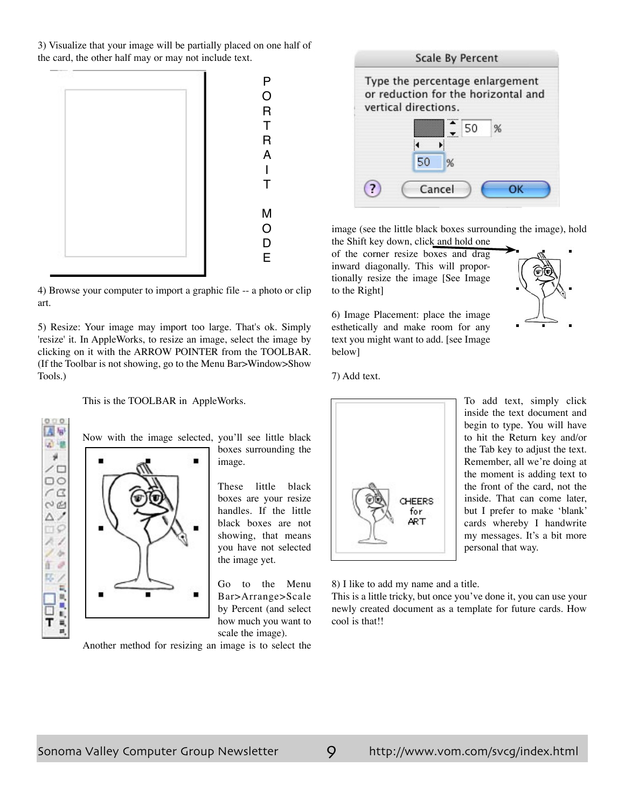3) Visualize that your image will be partially placed on one half of the card, the other half may or may not include text.



4) Browse your computer to import a graphic file -- a photo or clip art.

5) Resize: Your image may import too large. That's ok. Simply 'resize' it. In AppleWorks, to resize an image, select the image by clicking on it with the ARROW POINTER from the TOOLBAR. (If the Toolbar is not showing, go to the Menu Bar>Window>Show Tools.)

This is the TOOLBAR in AppleWorks.





boxes surrounding the image.

These little black boxes are your resize handles. If the little black boxes are not showing, that means you have not selected the image yet.

Go to the Menu Bar>Arrange>Scale by Percent (and select how much you want to scale the image).

Another method for resizing an image is to select the



image (see the little black boxes surrounding the image), hold the Shift key down, click and hold one

of the corner resize boxes and drag inward diagonally. This will proportionally resize the image [See Image to the Right]

6) Image Placement: place the image esthetically and make room for any text you might want to add. [see Image below]

7) Add text.



To add text, simply click inside the text document and begin to type. You will have to hit the Return key and/or the Tab key to adjust the text. Remember, all we're doing at the moment is adding text to the front of the card, not the inside. That can come later, but I prefer to make 'blank' cards whereby I handwrite my messages. It's a bit more personal that way.

8) I like to add my name and a title.

This is a little tricky, but once you've done it, you can use your newly created document as a template for future cards. How cool is that!!

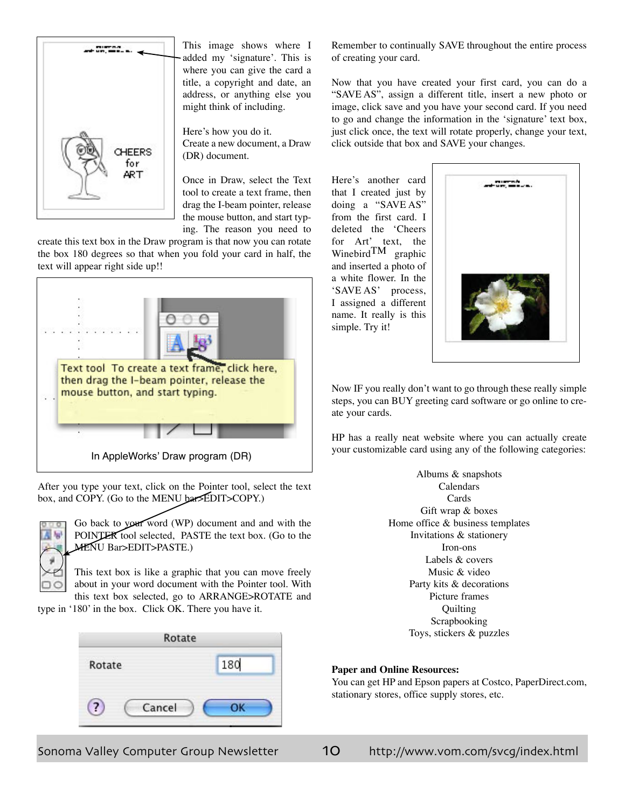

This image shows where I added my 'signature'. This is where you can give the card a title, a copyright and date, an address, or anything else you might think of including.

Here's how you do it. Create a new document, a Draw (DR) document.

Once in Draw, select the Text tool to create a text frame, then drag the I-beam pointer, release the mouse button, and start typing. The reason you need to

create this text box in the Draw program is that now you can rotate the box 180 degrees so that when you fold your card in half, the text will appear right side up!!



After you type your text, click on the Pointer tool, select the text box, and COPY. (Go to the MENU bar>EDIT>COPY.)



Go back to your word (WP) document and and with the POINTER tool selected, PASTE the text box. (Go to the MENU Bar>EDIT>PASTE.)

This text box is like a graphic that you can move freely about in your word document with the Pointer tool. With this text box selected, go to ARRANGE>ROTATE and

type in '180' in the box. Click OK. There you have it.



Remember to continually SAVE throughout the entire process of creating your card.

Now that you have created your first card, you can do a "SAVE AS", assign a different title, insert a new photo or image, click save and you have your second card. If you need to go and change the information in the 'signature' text box, just click once, the text will rotate properly, change your text, click outside that box and SAVE your changes.

Here's another card that I created just by doing a "SAVE AS" from the first card. I deleted the 'Cheers for Art' text, the Winebird $TM$  graphic and inserted a photo of a white flower. In the 'SAVE AS' process, I assigned a different name. It really is this simple. Try it!



Now IF you really don't want to go through these really simple steps, you can BUY greeting card software or go online to create your cards.

HP has a really neat website where you can actually create your customizable card using any of the following categories:

> Albums & snapshots Calendars Cards Gift wrap & boxes Home office & business templates Invitations & stationery Iron-ons Labels & covers Music & video Party kits & decorations Picture frames **Ouilting** Scrapbooking Toys, stickers & puzzles

# **Paper and Online Resources:**

You can get HP and Epson papers at Costco, PaperDirect.com, stationary stores, office supply stores, etc.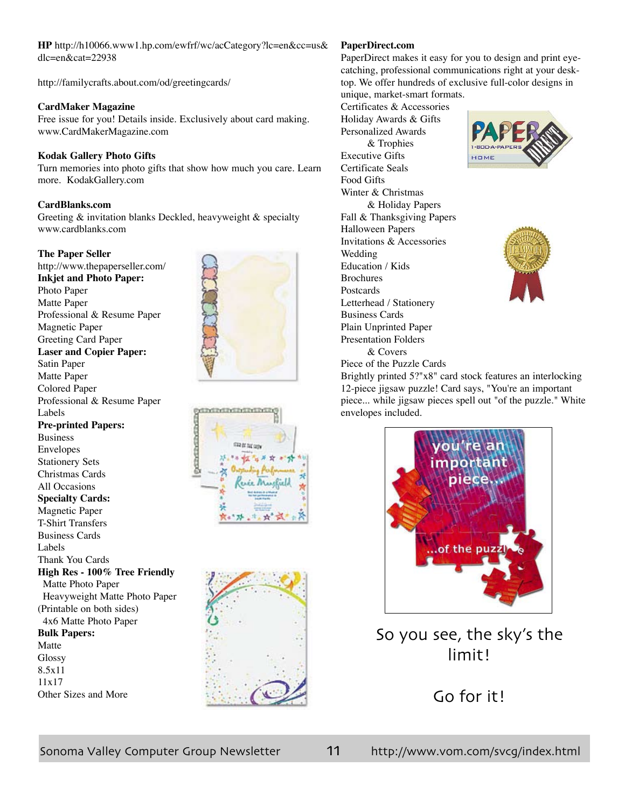**HP** <http://h10066.www1.hp.com/ewfrf/wc/acCategory?lc=en&cc=us&> dlc=en&cat=22938

<http://familycrafts.about.com/od/greetingcards/>

# **CardMaker Magazine**

Free issue for you! Details inside. Exclusively about card making. www.CardMakerMagazine.com

# **Kodak Gallery Photo Gifts**

Turn memories into photo gifts that show how much you care. Learn more. KodakGallery.com

# **CardBlanks.com**

Greeting & invitation blanks Deckled, heavyweight & specialty www.cardblanks.com

# **The Paper Seller**

<http://www.thepaperseller.com/> **Inkjet and Photo Paper:** Photo Paper Matte Paper Professional & Resume Paper Magnetic Paper Greeting Card Paper **Laser and Copier Paper:** Satin Paper Matte Paper Colored Paper Professional & Resume Paper Labels **Pre-printed Papers:** Business Envelopes Stationery Sets Christmas Cards All Occasions **Specialty Cards:** Magnetic Paper T-Shirt Transfers Business Cards Labels Thank You Cards **High Res - 100% Tree Friendly**  Matte Photo Paper Heavyweight Matte Photo Paper (Printable on both sides) 4x6 Matte Photo Paper **Bulk Papers:** Matte Glossy 8.5x11 11x17 Other Sizes and More







# **PaperDirect.com**

PaperDirect makes it easy for you to design and print eyecatching, professional communications right at your desktop. We offer hundreds of exclusive full-color designs in unique, market-smart formats.

Certificates & Accessories Holiday Awards & Gifts Personalized Awards & Trophies Executive Gifts Certificate Seals Food Gifts Winter & Christmas & Holiday Papers Fall & Thanksgiving Papers Halloween Papers Invitations & Accessories Wedding Education / Kids **Brochures** Postcards Letterhead / Stationery Business Cards Plain Unprinted Paper Presentation Folders & Covers





Piece of the Puzzle Cards Brightly printed 5?"x8" card stock features an interlocking 12-piece jigsaw puzzle! Card says, "You're an important piece... while jigsaw pieces spell out "of the puzzle." White envelopes included.



So you see, the sky's the limit!

Go for it!